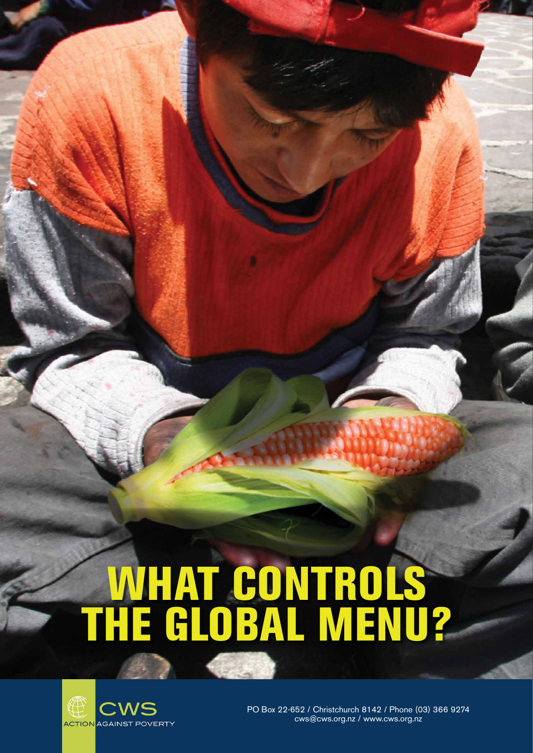PO Box 22-652 / Christchurch 8142 / Phone (03) 366 9274 cws@cws.org.nz / www.cws.org.nz



# WHAT CONTROLS THE GLOBAL MENU?